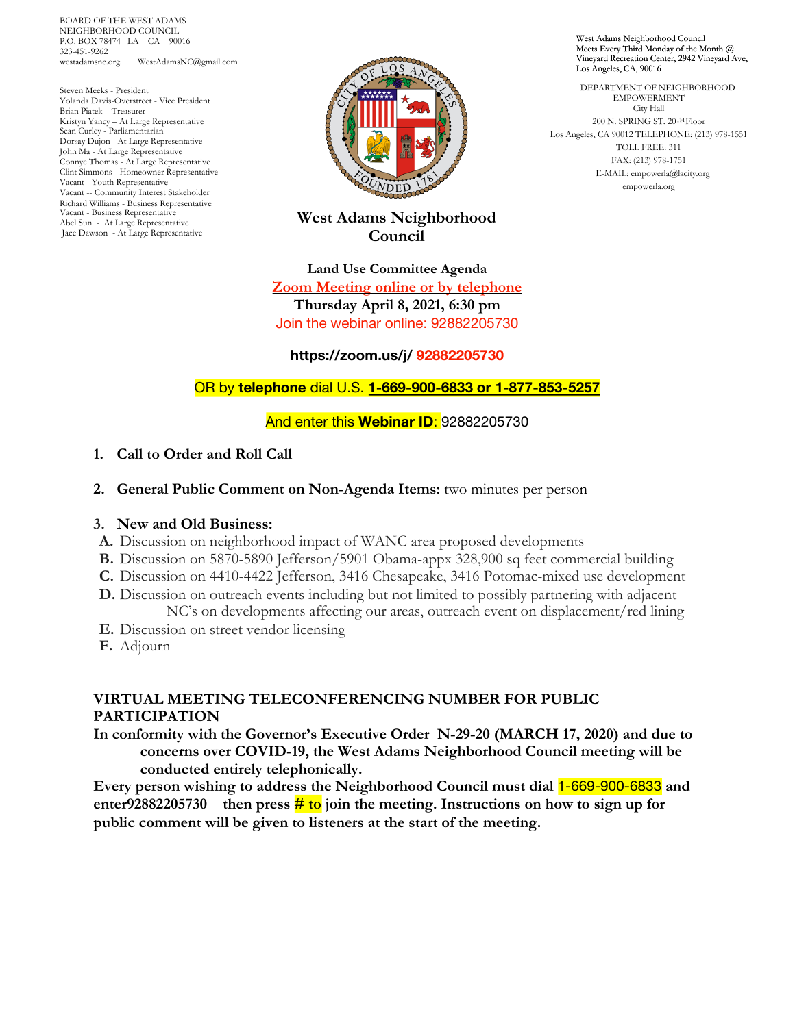BOARD OF THE WEST ADAMS NEIGHBORHOOD COUNCIL P.O. BOX 78474 LA – CA – 90016 323-451-9262 westadamsnc.org. WestAdamsNC@gmail.com

Steven Meeks - President Yolanda Davis-Overstreet - Vice President Brian Piatek – Treasurer Kristyn Yancy – At Large Representative Sean Curley - Parliamentarian Dorsay Dujon - At Large Representative John Ma - At Large Representative Connye Thomas - At Large Representative Clint Simmons - Homeowner Representative Vacant - Youth Representative Vacant -- Community Interest Stakeholder Richard Williams - Business Representative Vacant - Business Representative Abel Sun - At Large Representative Jace Dawson - At Large Representative



# **West Adams Neighborhood Council**

**Land Use Committee Agenda Zoom Meeting online or by telephone Thursday April 8, 2021, 6:30 pm** Join the webinar online: 92882205730

#### **https://zoom.us/j/ 92882205730**

### OR by **telephone** dial U.S. **1-669-900-6833 or 1-877-853-5257**

#### And enter this **Webinar ID**: 92882205730

#### **1. Call to Order and Roll Call**

**2. General Public Comment on Non-Agenda Items:** two minutes per person

#### **3. New and Old Business:**

- **A.** Discussion on neighborhood impact of WANC area proposed developments
- **B.** Discussion on 5870-5890 Jefferson/5901 Obama-appx 328,900 sq feet commercial building
- **C.** Discussion on 4410-4422 Jefferson, 3416 Chesapeake, 3416 Potomac-mixed use development
- **D.** Discussion on outreach events including but not limited to possibly partnering with adjacent NC's on developments affecting our areas, outreach event on displacement/red lining
- **E.** Discussion on street vendor licensing
- **F.** Adjourn

## **VIRTUAL MEETING TELECONFERENCING NUMBER FOR PUBLIC PARTICIPATION**

**In conformity with the Governor's Executive Order N-29-20 (MARCH 17, 2020) and due to concerns over COVID-19, the West Adams Neighborhood Council meeting will be conducted entirely telephonically.**

**Every person wishing to address the Neighborhood Council must dial** 1-669-900-6833 **and enter92882205730 then press**  $\frac{#}{ }$  **to join** the meeting. Instructions on how to sign up for **public comment will be given to listeners at the start of the meeting.**

West Adams Neighborhood Council Meets Every Third Monday of the Month @ Vineyard Recreation Center, 2942 Vineyard Ave, Los Angeles, CA, 90016

 DEPARTMENT OF NEIGHBORHOOD EMPOWERMENT City Hall  $200$ N. SPRING ST. $20^{\mathrm{TH}}\mathrm{Floor}$ Los Angeles, CA 90012 TELEPHONE: (213) 978-1551 TOLL FREE: 311 FAX: (213) 978-1751 E-MAIL: empowerla@lacity.org empowerla.org